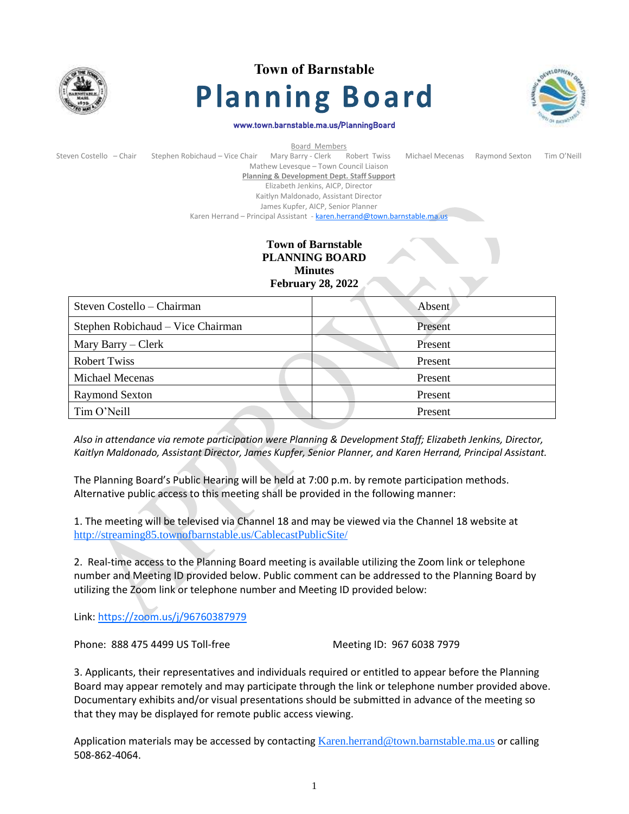

# **Town of Barnstable Planning Board**



#### www.town.barnstable.ma.us/PlanningBoard

| Board Members           |                                                                           |                                                       |  |                 |                |             |  |
|-------------------------|---------------------------------------------------------------------------|-------------------------------------------------------|--|-----------------|----------------|-------------|--|
| Steven Costello - Chair | Stephen Robichaud - Vice Chair                                            | Mary Barry - Clerk Robert Twiss                       |  | Michael Mecenas | Raymond Sexton | Tim O'Neill |  |
|                         |                                                                           | Mathew Levesque - Town Council Liaison                |  |                 |                |             |  |
|                         |                                                                           | <b>Planning &amp; Development Dept. Staff Support</b> |  |                 |                |             |  |
|                         |                                                                           | Elizabeth Jenkins, AICP, Director                     |  |                 |                |             |  |
|                         |                                                                           | Kaitlyn Maldonado, Assistant Director                 |  |                 |                |             |  |
|                         |                                                                           | James Kupfer, AICP, Senior Planner                    |  |                 |                |             |  |
|                         | Karen Herrand - Principal Assistant - karen.herrand@town.barnstable.ma.us |                                                       |  |                 |                |             |  |

## **Town of Barnstable PLANNING BOARD Minutes February 28, 2022**

| Steven Costello – Chairman        | Absent  |  |  |
|-----------------------------------|---------|--|--|
| Stephen Robichaud – Vice Chairman | Present |  |  |
| Mary Barry – Clerk                | Present |  |  |
| <b>Robert Twiss</b>               | Present |  |  |
| <b>Michael Mecenas</b>            | Present |  |  |
| <b>Raymond Sexton</b>             | Present |  |  |
| Tim O'Neill                       | Present |  |  |

*Also in attendance via remote participation were Planning & Development Staff; Elizabeth Jenkins, Director, Kaitlyn Maldonado, Assistant Director, James Kupfer, Senior Planner, and Karen Herrand, Principal Assistant.*

The Planning Board's Public Hearing will be held at 7:00 p.m. by remote participation methods. Alternative public access to this meeting shall be provided in the following manner:

1. The meeting will be televised via Channel 18 and may be viewed via the Channel 18 website at <http://streaming85.townofbarnstable.us/CablecastPublicSite/>

2. Real-time access to the Planning Board meeting is available utilizing the Zoom link or telephone number and Meeting ID provided below. Public comment can be addressed to the Planning Board by utilizing the Zoom link or telephone number and Meeting ID provided below:

Link:<https://zoom.us/j/96760387979>

Phone: 888 475 4499 US Toll-free Meeting ID: 967 6038 7979

3. Applicants, their representatives and individuals required or entitled to appear before the Planning Board may appear remotely and may participate through the link or telephone number provided above. Documentary exhibits and/or visual presentations should be submitted in advance of the meeting so that they may be displayed for remote public access viewing.

Application materials may be accessed by contacting [Karen.herrand@town.barnstable.ma.us](mailto:Karen.herrand@town.barnstable.ma.us) or calling 508-862-4064.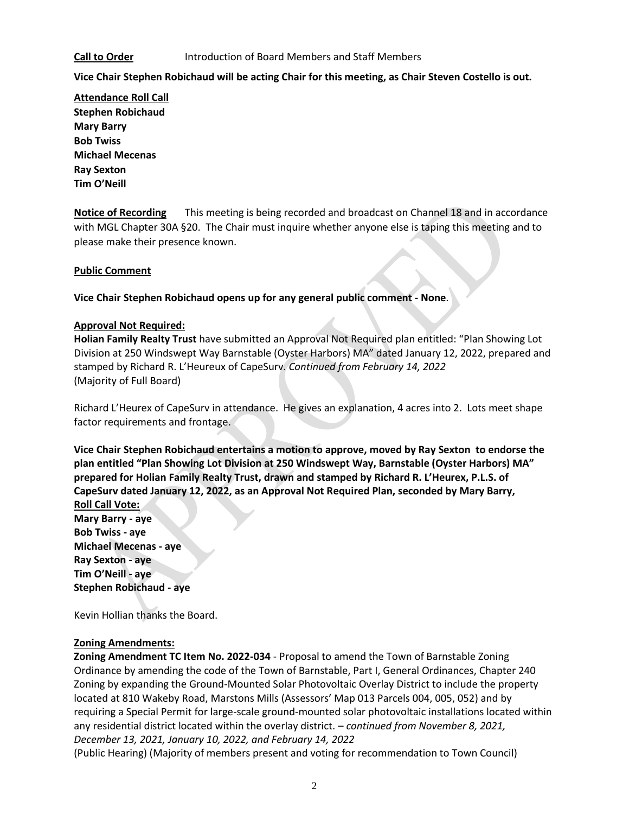#### **Call to Order** Introduction of Board Members and Staff Members

**Vice Chair Stephen Robichaud will be acting Chair for this meeting, as Chair Steven Costello is out.**

**Attendance Roll Call Stephen Robichaud Mary Barry Bob Twiss Michael Mecenas Ray Sexton Tim O'Neill**

**Notice of Recording** This meeting is being recorded and broadcast on Channel 18 and in accordance with MGL Chapter 30A §20. The Chair must inquire whether anyone else is taping this meeting and to please make their presence known.

### **Public Comment**

**Vice Chair Stephen Robichaud opens up for any general public comment - None**.

### **Approval Not Required:**

**Holian Family Realty Trust** have submitted an Approval Not Required plan entitled: "Plan Showing Lot Division at 250 Windswept Way Barnstable (Oyster Harbors) MA" dated January 12, 2022, prepared and stamped by Richard R. L'Heureux of CapeSurv*. Continued from February 14, 2022* (Majority of Full Board)

Richard L'Heurex of CapeSurv in attendance. He gives an explanation, 4 acres into 2. Lots meet shape factor requirements and frontage.

**Vice Chair Stephen Robichaud entertains a motion to approve, moved by Ray Sexton to endorse the plan entitled "Plan Showing Lot Division at 250 Windswept Way, Barnstable (Oyster Harbors) MA" prepared for Holian Family Realty Trust, drawn and stamped by Richard R. L'Heurex, P.L.S. of CapeSurv dated January 12, 2022, as an Approval Not Required Plan, seconded by Mary Barry, Roll Call Vote:**

**Mary Barry - aye Bob Twiss - aye Michael Mecenas - aye Ray Sexton - aye Tim O'Neill - aye Stephen Robichaud - aye**

Kevin Hollian thanks the Board.

#### **Zoning Amendments:**

**Zoning Amendment TC Item No. 2022-034** - Proposal to amend the Town of Barnstable Zoning Ordinance by amending the code of the Town of Barnstable, Part I, General Ordinances, Chapter 240 Zoning by expanding the Ground-Mounted Solar Photovoltaic Overlay District to include the property located at 810 Wakeby Road, Marstons Mills (Assessors' Map 013 Parcels 004, 005, 052) and by requiring a Special Permit for large-scale ground-mounted solar photovoltaic installations located within any residential district located within the overlay district. – *continued from November 8, 2021, December 13, 2021, January 10, 2022, and February 14, 2022*

(Public Hearing) (Majority of members present and voting for recommendation to Town Council)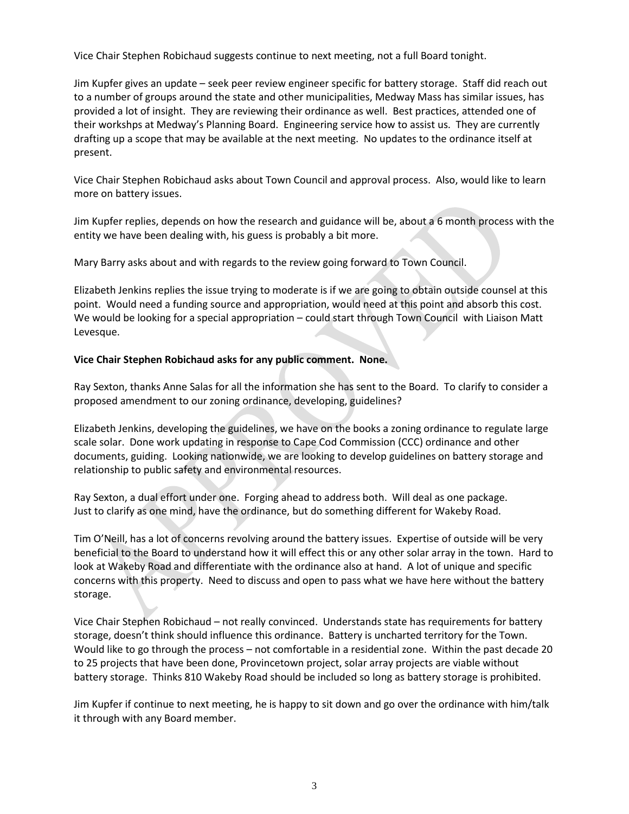Vice Chair Stephen Robichaud suggests continue to next meeting, not a full Board tonight.

Jim Kupfer gives an update – seek peer review engineer specific for battery storage. Staff did reach out to a number of groups around the state and other municipalities, Medway Mass has similar issues, has provided a lot of insight. They are reviewing their ordinance as well. Best practices, attended one of their workshps at Medway's Planning Board. Engineering service how to assist us. They are currently drafting up a scope that may be available at the next meeting. No updates to the ordinance itself at present.

Vice Chair Stephen Robichaud asks about Town Council and approval process. Also, would like to learn more on battery issues.

Jim Kupfer replies, depends on how the research and guidance will be, about a 6 month process with the entity we have been dealing with, his guess is probably a bit more.

Mary Barry asks about and with regards to the review going forward to Town Council.

Elizabeth Jenkins replies the issue trying to moderate is if we are going to obtain outside counsel at this point. Would need a funding source and appropriation, would need at this point and absorb this cost. We would be looking for a special appropriation – could start through Town Council with Liaison Matt Levesque.

### **Vice Chair Stephen Robichaud asks for any public comment. None.**

Ray Sexton, thanks Anne Salas for all the information she has sent to the Board. To clarify to consider a proposed amendment to our zoning ordinance, developing, guidelines?

Elizabeth Jenkins, developing the guidelines, we have on the books a zoning ordinance to regulate large scale solar. Done work updating in response to Cape Cod Commission (CCC) ordinance and other documents, guiding. Looking nationwide, we are looking to develop guidelines on battery storage and relationship to public safety and environmental resources.

Ray Sexton, a dual effort under one. Forging ahead to address both. Will deal as one package. Just to clarify as one mind, have the ordinance, but do something different for Wakeby Road.

Tim O'Neill, has a lot of concerns revolving around the battery issues. Expertise of outside will be very beneficial to the Board to understand how it will effect this or any other solar array in the town. Hard to look at Wakeby Road and differentiate with the ordinance also at hand. A lot of unique and specific concerns with this property. Need to discuss and open to pass what we have here without the battery storage.

Vice Chair Stephen Robichaud – not really convinced. Understands state has requirements for battery storage, doesn't think should influence this ordinance. Battery is uncharted territory for the Town. Would like to go through the process – not comfortable in a residential zone. Within the past decade 20 to 25 projects that have been done, Provincetown project, solar array projects are viable without battery storage. Thinks 810 Wakeby Road should be included so long as battery storage is prohibited.

Jim Kupfer if continue to next meeting, he is happy to sit down and go over the ordinance with him/talk it through with any Board member.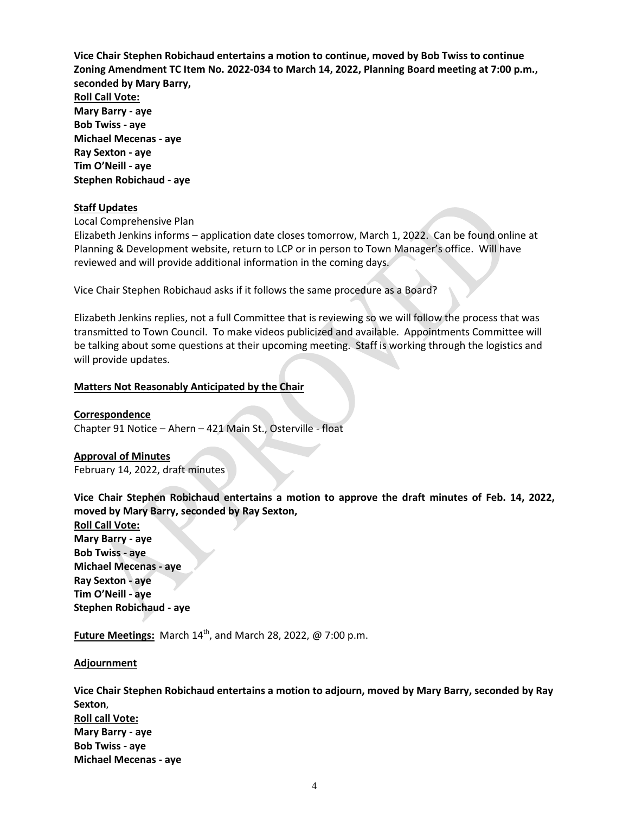**Vice Chair Stephen Robichaud entertains a motion to continue, moved by Bob Twiss to continue Zoning Amendment TC Item No. 2022-034 to March 14, 2022, Planning Board meeting at 7:00 p.m., seconded by Mary Barry, Roll Call Vote: Mary Barry - aye Bob Twiss - aye Michael Mecenas - aye Ray Sexton - aye Tim O'Neill - aye Stephen Robichaud - aye**

#### **Staff Updates**

Local Comprehensive Plan

Elizabeth Jenkins informs – application date closes tomorrow, March 1, 2022. Can be found online at Planning & Development website, return to LCP or in person to Town Manager's office. Will have reviewed and will provide additional information in the coming days.

Vice Chair Stephen Robichaud asks if it follows the same procedure as a Board?

Elizabeth Jenkins replies, not a full Committee that is reviewing so we will follow the process that was transmitted to Town Council. To make videos publicized and available. Appointments Committee will be talking about some questions at their upcoming meeting. Staff is working through the logistics and will provide updates.

### **Matters Not Reasonably Anticipated by the Chair**

**Correspondence** Chapter 91 Notice – Ahern – 421 Main St., Osterville - float

**Approval of Minutes** February 14, 2022, draft minutes

**Vice Chair Stephen Robichaud entertains a motion to approve the draft minutes of Feb. 14, 2022, moved by Mary Barry, seconded by Ray Sexton,**

**Roll Call Vote: Mary Barry - aye Bob Twiss - aye Michael Mecenas - aye Ray Sexton - aye Tim O'Neill - aye Stephen Robichaud - aye**

**Future Meetings:** March  $14^{th}$ , and March 28, 2022,  $\omega$  7:00 p.m.

**Adjournment** 

**Vice Chair Stephen Robichaud entertains a motion to adjourn, moved by Mary Barry, seconded by Ray Sexton**, **Roll call Vote: Mary Barry - aye Bob Twiss - aye Michael Mecenas - aye**